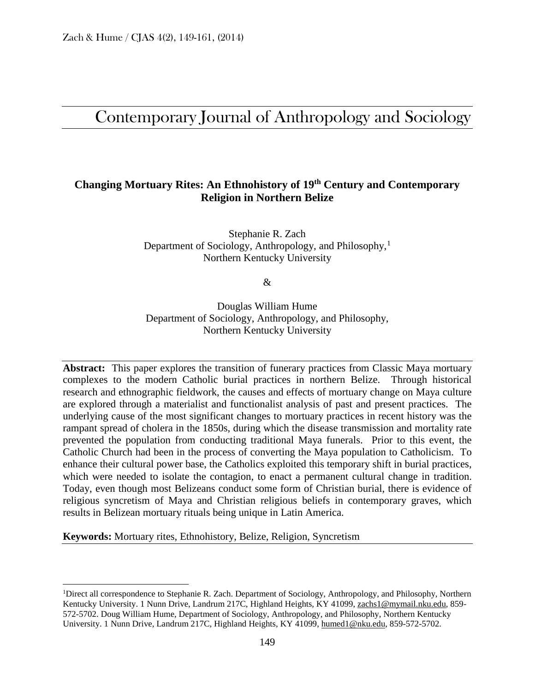# Contemporary Journal of Anthropology and Sociology

# **Changing Mortuary Rites: An Ethnohistory of 19th Century and Contemporary Religion in Northern Belize**

Stephanie R. Zach Department of Sociology, Anthropology, and Philosophy,[1](#page-0-0) Northern Kentucky University

&

Douglas William Hume Department of Sociology, Anthropology, and Philosophy, Northern Kentucky University

**Abstract:** This paper explores the transition of funerary practices from Classic Maya mortuary complexes to the modern Catholic burial practices in northern Belize. Through historical research and ethnographic fieldwork, the causes and effects of mortuary change on Maya culture are explored through a materialist and functionalist analysis of past and present practices. The underlying cause of the most significant changes to mortuary practices in recent history was the rampant spread of cholera in the 1850s, during which the disease transmission and mortality rate prevented the population from conducting traditional Maya funerals. Prior to this event, the Catholic Church had been in the process of converting the Maya population to Catholicism. To enhance their cultural power base, the Catholics exploited this temporary shift in burial practices, which were needed to isolate the contagion, to enact a permanent cultural change in tradition. Today, even though most Belizeans conduct some form of Christian burial, there is evidence of religious syncretism of Maya and Christian religious beliefs in contemporary graves, which results in Belizean mortuary rituals being unique in Latin America.

**Keywords:** Mortuary rites, Ethnohistory, Belize, Religion, Syncretism

<span id="page-0-0"></span><sup>&</sup>lt;sup>1</sup>Direct all correspondence to Stephanie R. Zach. Department of Sociology, Anthropology, and Philosophy, Northern Kentucky University. 1 Nunn Drive, Landrum 217C, Highland Heights, KY 41099, zachs1@mymail.nku.edu, 859- 572-5702. Doug William Hume, Department of Sociology, Anthropology, and Philosophy, Northern Kentucky University. 1 Nunn Drive, Landrum 217C, Highland Heights, KY 41099, [humed1@nku.edu,](mailto:humed1@nku.edu) 859-572-5702.  $\overline{1}$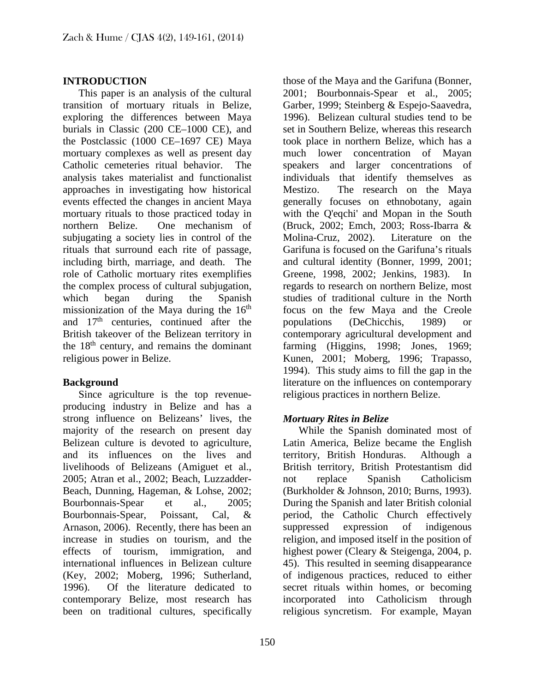#### **INTRODUCTION**

 This paper is an analysis of the cultural transition of mortuary rituals in Belize, exploring the differences between Maya burials in Classic (200 CE–1000 CE), and the Postclassic (1000 CE–1697 CE) Maya mortuary complexes as well as present day Catholic cemeteries ritual behavior. The analysis takes materialist and functionalist approaches in investigating how historical events effected the changes in ancient Maya mortuary rituals to those practiced today in northern Belize. One mechanism of subjugating a society lies in control of the rituals that surround each rite of passage, including birth, marriage, and death. The role of Catholic mortuary rites exemplifies the complex process of cultural subjugation, which began during the Spanish missionization of the Maya during the  $16<sup>th</sup>$ and  $17<sup>th</sup>$  centuries, continued after the British takeover of the Belizean territory in the  $18<sup>th</sup>$  century, and remains the dominant religious power in Belize.

#### **Background**

 Since agriculture is the top revenueproducing industry in Belize and has a strong influence on Belizeans' lives, the majority of the research on present day Belizean culture is devoted to agriculture, and its influences on the lives and livelihoods of Belizeans (Amiguet et al., 2005; Atran et al., 2002; Beach, Luzzadder-Beach, Dunning, Hageman, & Lohse, 2002; Bourbonnais-Spear et al., 2005; Bourbonnais-Spear, Poissant, Cal, & Arnason, 2006). Recently, there has been an increase in studies on tourism, and the effects of tourism, immigration, and international influences in Belizean culture (Key, 2002; Moberg, 1996; Sutherland, 1996). Of the literature dedicated to contemporary Belize, most research has been on traditional cultures, specifically

those of the Maya and the Garifuna (Bonner, 2001; Bourbonnais-Spear et al., 2005; Garber, 1999; Steinberg & Espejo-Saavedra, 1996). Belizean cultural studies tend to be set in Southern Belize, whereas this research took place in northern Belize, which has a much lower concentration of Mayan speakers and larger concentrations of individuals that identify themselves as Mestizo. The research on the Maya generally focuses on ethnobotany, again with the Q'eqchi' and Mopan in the South (Bruck, 2002; Emch, 2003; Ross-Ibarra & Molina-Cruz, 2002). Literature on the Garifuna is focused on the Garifuna's rituals and cultural identity (Bonner, 1999, 2001; Greene, 1998, 2002; Jenkins, 1983). In regards to research on northern Belize, most studies of traditional culture in the North focus on the few Maya and the Creole populations (DeChicchis, 1989) or contemporary agricultural development and farming (Higgins, 1998; Jones, 1969; Kunen, 2001; Moberg, 1996; Trapasso, 1994). This study aims to fill the gap in the literature on the influences on contemporary religious practices in northern Belize.

# *Mortuary Rites in Belize*

 While the Spanish dominated most of Latin America, Belize became the English territory, British Honduras. Although a British territory, British Protestantism did not replace Spanish Catholicism (Burkholder & Johnson, 2010; Burns, 1993). During the Spanish and later British colonial period, the Catholic Church effectively suppressed expression of indigenous religion, and imposed itself in the position of highest power (Cleary & Steigenga, 2004, p. 45). This resulted in seeming disappearance of indigenous practices, reduced to either secret rituals within homes, or becoming incorporated into Catholicism through religious syncretism. For example, Mayan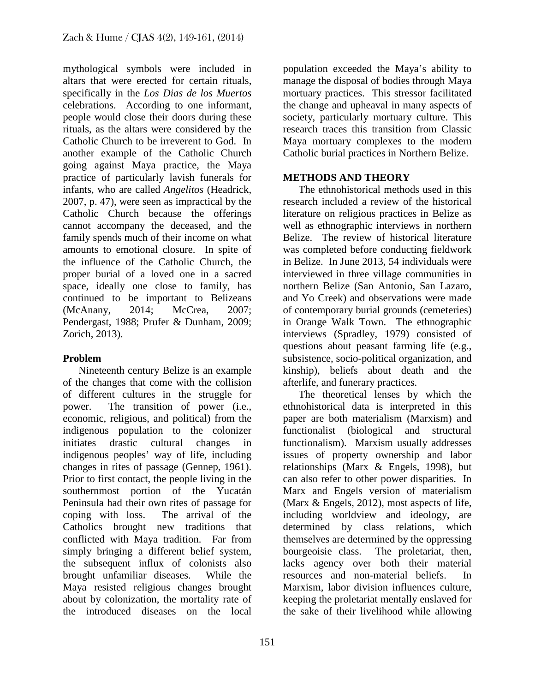mythological symbols were included in altars that were erected for certain rituals, specifically in the *Los Dias de los Muertos* celebrations. According to one informant, people would close their doors during these rituals, as the altars were considered by the Catholic Church to be irreverent to God. In another example of the Catholic Church going against Maya practice, the Maya practice of particularly lavish funerals for infants, who are called *Angelitos* (Headrick, 2007, p. 47), were seen as impractical by the Catholic Church because the offerings cannot accompany the deceased, and the family spends much of their income on what amounts to emotional closure. In spite of the influence of the Catholic Church, the proper burial of a loved one in a sacred space, ideally one close to family, has continued to be important to Belizeans (McAnany, 2014; McCrea, 2007; Pendergast, 1988; Prufer & Dunham, 2009; Zorich, 2013).

# **Problem**

 Nineteenth century Belize is an example of the changes that come with the collision of different cultures in the struggle for power. The transition of power (i.e., economic, religious, and political) from the indigenous population to the colonizer initiates drastic cultural changes in indigenous peoples' way of life, including changes in rites of passage (Gennep, 1961). Prior to first contact, the people living in the southernmost portion of the Yucatán Peninsula had their own rites of passage for coping with loss. The arrival of the Catholics brought new traditions that conflicted with Maya tradition. Far from simply bringing a different belief system, the subsequent influx of colonists also brought unfamiliar diseases. While the Maya resisted religious changes brought about by colonization, the mortality rate of the introduced diseases on the local

population exceeded the Maya's ability to manage the disposal of bodies through Maya mortuary practices. This stressor facilitated the change and upheaval in many aspects of society, particularly mortuary culture. This research traces this transition from Classic Maya mortuary complexes to the modern Catholic burial practices in Northern Belize.

# **METHODS AND THEORY**

 The ethnohistorical methods used in this research included a review of the historical literature on religious practices in Belize as well as ethnographic interviews in northern Belize. The review of historical literature was completed before conducting fieldwork in Belize. In June 2013, 54 individuals were interviewed in three village communities in northern Belize (San Antonio, San Lazaro, and Yo Creek) and observations were made of contemporary burial grounds (cemeteries) in Orange Walk Town. The ethnographic interviews (Spradley, 1979) consisted of questions about peasant farming life (e.g., subsistence, socio-political organization, and kinship), beliefs about death and the afterlife, and funerary practices.

 The theoretical lenses by which the ethnohistorical data is interpreted in this paper are both materialism (Marxism) and functionalist (biological and structural functionalism). Marxism usually addresses issues of property ownership and labor relationships (Marx & Engels, 1998), but can also refer to other power disparities. In Marx and Engels version of materialism (Marx & Engels, 2012), most aspects of life, including worldview and ideology, are determined by class relations, which themselves are determined by the oppressing bourgeoisie class. The proletariat, then, lacks agency over both their material resources and non-material beliefs. In Marxism, labor division influences culture, keeping the proletariat mentally enslaved for the sake of their livelihood while allowing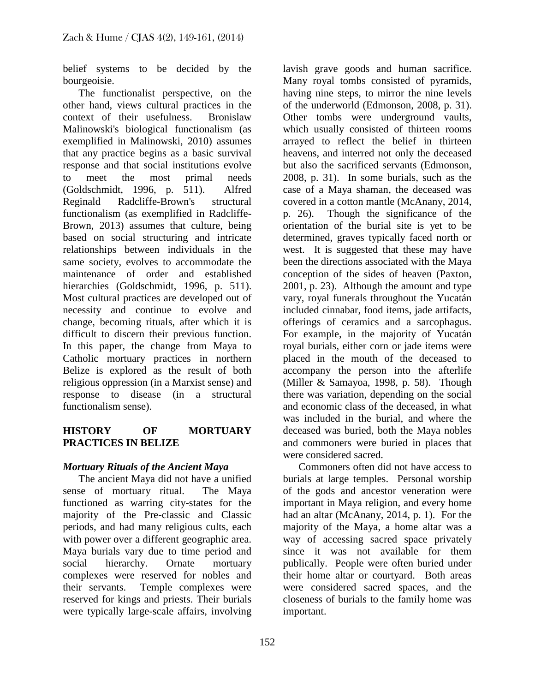belief systems to be decided by the bourgeoisie.

 The functionalist perspective, on the other hand, views cultural practices in the context of their usefulness. Bronislaw Malinowski's biological functionalism (as exemplified in Malinowski, 2010) assumes that any practice begins as a basic survival response and that social institutions evolve to meet the most primal needs (Goldschmidt, 1996, p. 511). Alfred Reginald Radcliffe-Brown's structural functionalism (as exemplified in Radcliffe-Brown, 2013) assumes that culture, being based on social structuring and intricate relationships between individuals in the same society, evolves to accommodate the maintenance of order and established hierarchies (Goldschmidt, 1996, p. 511). Most cultural practices are developed out of necessity and continue to evolve and change, becoming rituals, after which it is difficult to discern their previous function. In this paper, the change from Maya to Catholic mortuary practices in northern Belize is explored as the result of both religious oppression (in a Marxist sense) and response to disease (in a structural functionalism sense).

#### **HISTORY OF MORTUARY PRACTICES IN BELIZE**

# *Mortuary Rituals of the Ancient Maya*

 The ancient Maya did not have a unified sense of mortuary ritual. The Maya functioned as warring city-states for the majority of the Pre-classic and Classic periods, and had many religious cults, each with power over a different geographic area. Maya burials vary due to time period and social hierarchy. Ornate mortuary complexes were reserved for nobles and their servants. Temple complexes were reserved for kings and priests. Their burials were typically large-scale affairs, involving

lavish grave goods and human sacrifice. Many royal tombs consisted of pyramids, having nine steps, to mirror the nine levels of the underworld (Edmonson, 2008, p. 31). Other tombs were underground vaults, which usually consisted of thirteen rooms arrayed to reflect the belief in thirteen heavens, and interred not only the deceased but also the sacrificed servants (Edmonson, 2008, p. 31). In some burials, such as the case of a Maya shaman, the deceased was covered in a cotton mantle (McAnany, 2014, p. 26). Though the significance of the orientation of the burial site is yet to be determined, graves typically faced north or west. It is suggested that these may have been the directions associated with the Maya conception of the sides of heaven (Paxton, 2001, p. 23). Although the amount and type vary, royal funerals throughout the Yucatán included cinnabar, food items, jade artifacts, offerings of ceramics and a sarcophagus. For example, in the majority of Yucatán royal burials, either corn or jade items were placed in the mouth of the deceased to accompany the person into the afterlife (Miller & Samayoa, 1998, p. 58). Though there was variation, depending on the social and economic class of the deceased, in what was included in the burial, and where the deceased was buried, both the Maya nobles and commoners were buried in places that were considered sacred.

 Commoners often did not have access to burials at large temples. Personal worship of the gods and ancestor veneration were important in Maya religion, and every home had an altar (McAnany, 2014, p. 1). For the majority of the Maya, a home altar was a way of accessing sacred space privately since it was not available for them publically. People were often buried under their home altar or courtyard. Both areas were considered sacred spaces, and the closeness of burials to the family home was important.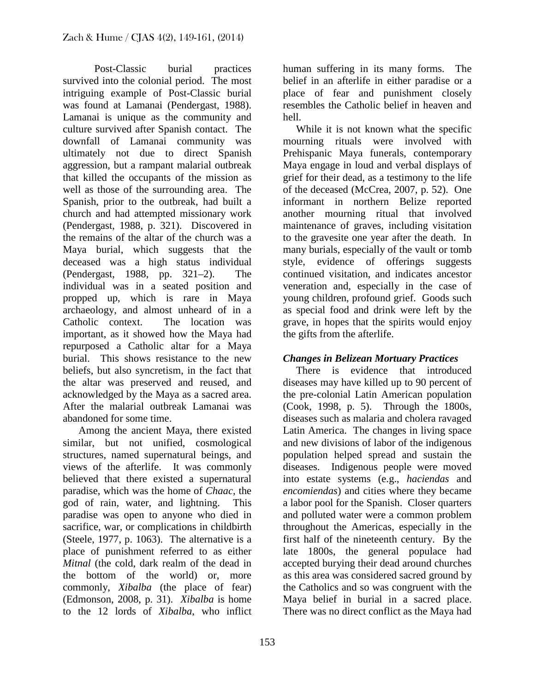Post-Classic burial practices survived into the colonial period. The most intriguing example of Post-Classic burial was found at Lamanai (Pendergast, 1988). Lamanai is unique as the community and culture survived after Spanish contact. The downfall of Lamanai community was ultimately not due to direct Spanish aggression, but a rampant malarial outbreak that killed the occupants of the mission as well as those of the surrounding area. The Spanish, prior to the outbreak, had built a church and had attempted missionary work (Pendergast, 1988, p. 321). Discovered in the remains of the altar of the church was a Maya burial, which suggests that the deceased was a high status individual (Pendergast, 1988, pp. 321–2). The individual was in a seated position and propped up, which is rare in Maya archaeology, and almost unheard of in a Catholic context. The location was important, as it showed how the Maya had repurposed a Catholic altar for a Maya burial. This shows resistance to the new beliefs, but also syncretism, in the fact that the altar was preserved and reused, and acknowledged by the Maya as a sacred area. After the malarial outbreak Lamanai was abandoned for some time.

 Among the ancient Maya, there existed similar, but not unified, cosmological structures, named supernatural beings, and views of the afterlife. It was commonly believed that there existed a supernatural paradise, which was the home of *Chaac*, the god of rain, water, and lightning. This paradise was open to anyone who died in sacrifice, war, or complications in childbirth (Steele, 1977, p. 1063). The alternative is a place of punishment referred to as either *Mitnal* (the cold, dark realm of the dead in the bottom of the world) or, more commonly, *Xibalba* (the place of fear) (Edmonson, 2008, p. 31). *Xibalba* is home to the 12 lords of *Xibalba*, who inflict

human suffering in its many forms. The belief in an afterlife in either paradise or a place of fear and punishment closely resembles the Catholic belief in heaven and hell.

 While it is not known what the specific mourning rituals were involved with Prehispanic Maya funerals, contemporary Maya engage in loud and verbal displays of grief for their dead, as a testimony to the life of the deceased (McCrea, 2007, p. 52). One informant in northern Belize reported another mourning ritual that involved maintenance of graves, including visitation to the gravesite one year after the death. In many burials, especially of the vault or tomb style, evidence of offerings suggests continued visitation, and indicates ancestor veneration and, especially in the case of young children, profound grief. Goods such as special food and drink were left by the grave, in hopes that the spirits would enjoy the gifts from the afterlife.

# *Changes in Belizean Mortuary Practices*

 There is evidence that introduced diseases may have killed up to 90 percent of the pre-colonial Latin American population (Cook, 1998, p. 5). Through the 1800s, diseases such as malaria and cholera ravaged Latin America. The changes in living space and new divisions of labor of the indigenous population helped spread and sustain the diseases. Indigenous people were moved into estate systems (e.g., *haciendas* and *encomiendas*) and cities where they became a labor pool for the Spanish. Closer quarters and polluted water were a common problem throughout the Americas, especially in the first half of the nineteenth century. By the late 1800s, the general populace had accepted burying their dead around churches as this area was considered sacred ground by the Catholics and so was congruent with the Maya belief in burial in a sacred place. There was no direct conflict as the Maya had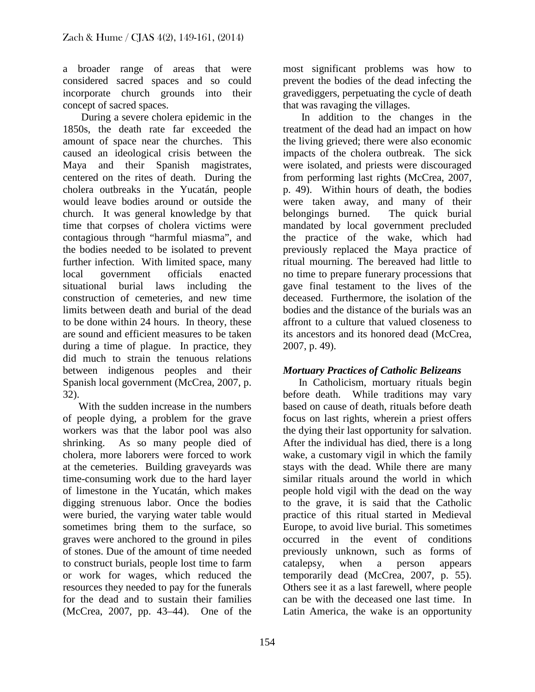a broader range of areas that were considered sacred spaces and so could incorporate church grounds into their concept of sacred spaces.

 During a severe cholera epidemic in the 1850s, the death rate far exceeded the amount of space near the churches. This caused an ideological crisis between the Maya and their Spanish magistrates, centered on the rites of death. During the cholera outbreaks in the Yucatán, people would leave bodies around or outside the church. It was general knowledge by that time that corpses of cholera victims were contagious through "harmful miasma", and the bodies needed to be isolated to prevent further infection. With limited space, many local government officials enacted situational burial laws including the construction of cemeteries, and new time limits between death and burial of the dead to be done within 24 hours. In theory, these are sound and efficient measures to be taken during a time of plague. In practice, they did much to strain the tenuous relations between indigenous peoples and their Spanish local government (McCrea, 2007, p. 32).

 With the sudden increase in the numbers of people dying, a problem for the grave workers was that the labor pool was also shrinking. As so many people died of cholera, more laborers were forced to work at the cemeteries. Building graveyards was time-consuming work due to the hard layer of limestone in the Yucatán, which makes digging strenuous labor. Once the bodies were buried, the varying water table would sometimes bring them to the surface, so graves were anchored to the ground in piles of stones. Due of the amount of time needed to construct burials, people lost time to farm or work for wages, which reduced the resources they needed to pay for the funerals for the dead and to sustain their families (McCrea, 2007, pp. 43–44). One of the

most significant problems was how to prevent the bodies of the dead infecting the gravediggers, perpetuating the cycle of death that was ravaging the villages.

 In addition to the changes in the treatment of the dead had an impact on how the living grieved; there were also economic impacts of the cholera outbreak. The sick were isolated, and priests were discouraged from performing last rights (McCrea, 2007, p. 49). Within hours of death, the bodies were taken away, and many of their belongings burned. The quick burial mandated by local government precluded the practice of the wake, which had previously replaced the Maya practice of ritual mourning. The bereaved had little to no time to prepare funerary processions that gave final testament to the lives of the deceased. Furthermore, the isolation of the bodies and the distance of the burials was an affront to a culture that valued closeness to its ancestors and its honored dead (McCrea, 2007, p. 49).

# *Mortuary Practices of Catholic Belizeans*

 In Catholicism, mortuary rituals begin before death. While traditions may vary based on cause of death, rituals before death focus on last rights, wherein a priest offers the dying their last opportunity for salvation. After the individual has died, there is a long wake, a customary vigil in which the family stays with the dead. While there are many similar rituals around the world in which people hold vigil with the dead on the way to the grave, it is said that the Catholic practice of this ritual started in Medieval Europe, to avoid live burial. This sometimes occurred in the event of conditions previously unknown, such as forms of catalepsy, when a person appears temporarily dead (McCrea, 2007, p. 55). Others see it as a last farewell, where people can be with the deceased one last time. In Latin America, the wake is an opportunity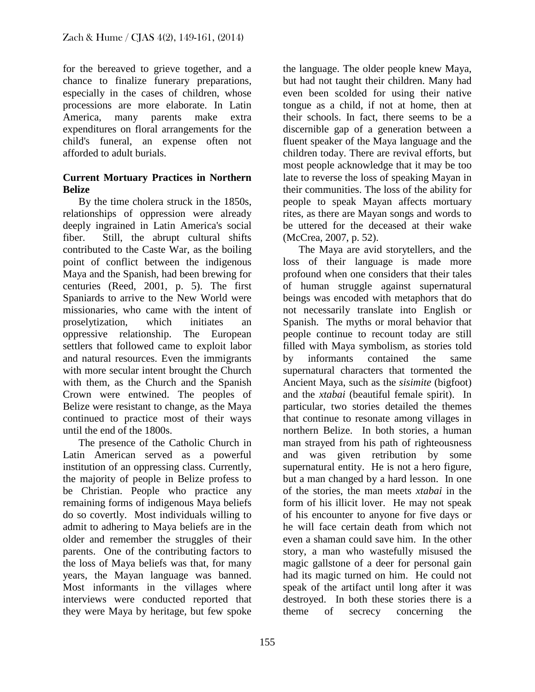for the bereaved to grieve together, and a chance to finalize funerary preparations, especially in the cases of children, whose processions are more elaborate. In Latin America, many parents make extra expenditures on floral arrangements for the child's funeral, an expense often not afforded to adult burials.

#### **Current Mortuary Practices in Northern Belize**

 By the time cholera struck in the 1850s, relationships of oppression were already deeply ingrained in Latin America's social fiber. Still, the abrupt cultural shifts contributed to the Caste War, as the boiling point of conflict between the indigenous Maya and the Spanish, had been brewing for centuries (Reed, 2001, p. 5). The first Spaniards to arrive to the New World were missionaries, who came with the intent of proselytization, which initiates an oppressive relationship. The European settlers that followed came to exploit labor and natural resources. Even the immigrants with more secular intent brought the Church with them, as the Church and the Spanish Crown were entwined. The peoples of Belize were resistant to change, as the Maya continued to practice most of their ways until the end of the 1800s.

 The presence of the Catholic Church in Latin American served as a powerful institution of an oppressing class. Currently, the majority of people in Belize profess to be Christian. People who practice any remaining forms of indigenous Maya beliefs do so covertly. Most individuals willing to admit to adhering to Maya beliefs are in the older and remember the struggles of their parents. One of the contributing factors to the loss of Maya beliefs was that, for many years, the Mayan language was banned. Most informants in the villages where interviews were conducted reported that they were Maya by heritage, but few spoke

the language. The older people knew Maya, but had not taught their children. Many had even been scolded for using their native tongue as a child, if not at home, then at their schools. In fact, there seems to be a discernible gap of a generation between a fluent speaker of the Maya language and the children today. There are revival efforts, but most people acknowledge that it may be too late to reverse the loss of speaking Mayan in their communities. The loss of the ability for people to speak Mayan affects mortuary rites, as there are Mayan songs and words to be uttered for the deceased at their wake (McCrea, 2007, p. 52).

 The Maya are avid storytellers, and the loss of their language is made more profound when one considers that their tales of human struggle against supernatural beings was encoded with metaphors that do not necessarily translate into English or Spanish. The myths or moral behavior that people continue to recount today are still filled with Maya symbolism, as stories told by informants contained the same supernatural characters that tormented the Ancient Maya, such as the *sisimite* (bigfoot) and the *xtabai* (beautiful female spirit). In particular, two stories detailed the themes that continue to resonate among villages in northern Belize. In both stories, a human man strayed from his path of righteousness and was given retribution by some supernatural entity. He is not a hero figure, but a man changed by a hard lesson. In one of the stories, the man meets *xtabai* in the form of his illicit lover. He may not speak of his encounter to anyone for five days or he will face certain death from which not even a shaman could save him. In the other story, a man who wastefully misused the magic gallstone of a deer for personal gain had its magic turned on him. He could not speak of the artifact until long after it was destroyed. In both these stories there is a theme of secrecy concerning the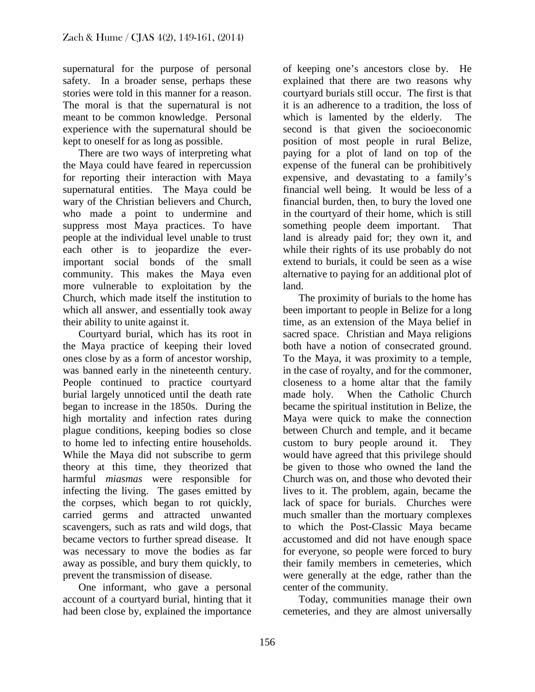supernatural for the purpose of personal safety. In a broader sense, perhaps these stories were told in this manner for a reason. The moral is that the supernatural is not meant to be common knowledge. Personal experience with the supernatural should be kept to oneself for as long as possible.

 There are two ways of interpreting what the Maya could have feared in repercussion for reporting their interaction with Maya supernatural entities. The Maya could be wary of the Christian believers and Church, who made a point to undermine and suppress most Maya practices. To have people at the individual level unable to trust each other is to jeopardize the everimportant social bonds of the small community. This makes the Maya even more vulnerable to exploitation by the Church, which made itself the institution to which all answer, and essentially took away their ability to unite against it.

 Courtyard burial, which has its root in the Maya practice of keeping their loved ones close by as a form of ancestor worship, was banned early in the nineteenth century. People continued to practice courtyard burial largely unnoticed until the death rate began to increase in the 1850s. During the high mortality and infection rates during plague conditions, keeping bodies so close to home led to infecting entire households. While the Maya did not subscribe to germ theory at this time, they theorized that harmful *miasmas* were responsible for infecting the living. The gases emitted by the corpses, which began to rot quickly, carried germs and attracted unwanted scavengers, such as rats and wild dogs, that became vectors to further spread disease. It was necessary to move the bodies as far away as possible, and bury them quickly, to prevent the transmission of disease.

 One informant, who gave a personal account of a courtyard burial, hinting that it had been close by, explained the importance

of keeping one's ancestors close by. He explained that there are two reasons why courtyard burials still occur. The first is that it is an adherence to a tradition, the loss of which is lamented by the elderly. The second is that given the socioeconomic position of most people in rural Belize, paying for a plot of land on top of the expense of the funeral can be prohibitively expensive, and devastating to a family's financial well being. It would be less of a financial burden, then, to bury the loved one in the courtyard of their home, which is still something people deem important. That land is already paid for; they own it, and while their rights of its use probably do not extend to burials, it could be seen as a wise alternative to paying for an additional plot of land.

 The proximity of burials to the home has been important to people in Belize for a long time, as an extension of the Maya belief in sacred space. Christian and Maya religions both have a notion of consecrated ground. To the Maya, it was proximity to a temple, in the case of royalty, and for the commoner, closeness to a home altar that the family made holy. When the Catholic Church became the spiritual institution in Belize, the Maya were quick to make the connection between Church and temple, and it became custom to bury people around it. They would have agreed that this privilege should be given to those who owned the land the Church was on, and those who devoted their lives to it. The problem, again, became the lack of space for burials. Churches were much smaller than the mortuary complexes to which the Post-Classic Maya became accustomed and did not have enough space for everyone, so people were forced to bury their family members in cemeteries, which were generally at the edge, rather than the center of the community.

 Today, communities manage their own cemeteries, and they are almost universally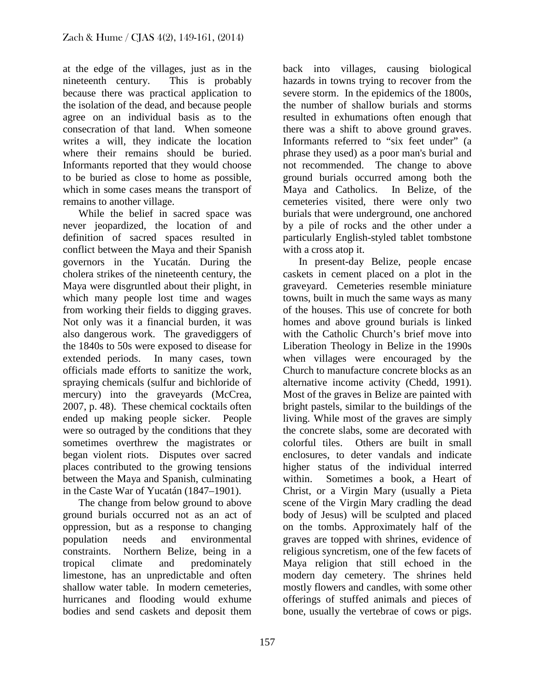at the edge of the villages, just as in the nineteenth century. This is probably because there was practical application to the isolation of the dead, and because people agree on an individual basis as to the consecration of that land. When someone writes a will, they indicate the location where their remains should be buried. Informants reported that they would choose to be buried as close to home as possible, which in some cases means the transport of remains to another village.

 While the belief in sacred space was never jeopardized, the location of and definition of sacred spaces resulted in conflict between the Maya and their Spanish governors in the Yucatán. During the cholera strikes of the nineteenth century, the Maya were disgruntled about their plight, in which many people lost time and wages from working their fields to digging graves. Not only was it a financial burden, it was also dangerous work. The gravediggers of the 1840s to 50s were exposed to disease for extended periods. In many cases, town officials made efforts to sanitize the work, spraying chemicals (sulfur and bichloride of mercury) into the graveyards (McCrea, 2007, p. 48). These chemical cocktails often ended up making people sicker. People were so outraged by the conditions that they sometimes overthrew the magistrates or began violent riots. Disputes over sacred places contributed to the growing tensions between the Maya and Spanish, culminating in the Caste War of Yucatán (1847–1901).

 The change from below ground to above ground burials occurred not as an act of oppression, but as a response to changing<br>nonulation needs and environmental population needs and environmental constraints. Northern Belize, being in a tropical climate and predominately limestone, has an unpredictable and often shallow water table. In modern cemeteries, hurricanes and flooding would exhume bodies and send caskets and deposit them

back into villages, causing biological hazards in towns trying to recover from the severe storm. In the epidemics of the 1800s, the number of shallow burials and storms resulted in exhumations often enough that there was a shift to above ground graves. Informants referred to "six feet under" (a phrase they used) as a poor man's burial and not recommended. The change to above ground burials occurred among both the Maya and Catholics. In Belize, of the cemeteries visited, there were only two burials that were underground, one anchored by a pile of rocks and the other under a particularly English-styled tablet tombstone with a cross atop it.

 In present-day Belize, people encase caskets in cement placed on a plot in the graveyard. Cemeteries resemble miniature towns, built in much the same ways as many of the houses. This use of concrete for both homes and above ground burials is linked with the Catholic Church's brief move into Liberation Theology in Belize in the 1990s when villages were encouraged by the Church to manufacture concrete blocks as an alternative income activity (Chedd, 1991). Most of the graves in Belize are painted with bright pastels, similar to the buildings of the living. While most of the graves are simply the concrete slabs, some are decorated with colorful tiles. Others are built in small enclosures, to deter vandals and indicate higher status of the individual interred within. Sometimes a book, a Heart of Christ, or a Virgin Mary (usually a Pieta scene of the Virgin Mary cradling the dead body of Jesus) will be sculpted and placed on the tombs. Approximately half of the graves are topped with shrines, evidence of religious syncretism, one of the few facets of Maya religion that still echoed in the modern day cemetery. The shrines held mostly flowers and candles, with some other offerings of stuffed animals and pieces of bone, usually the vertebrae of cows or pigs.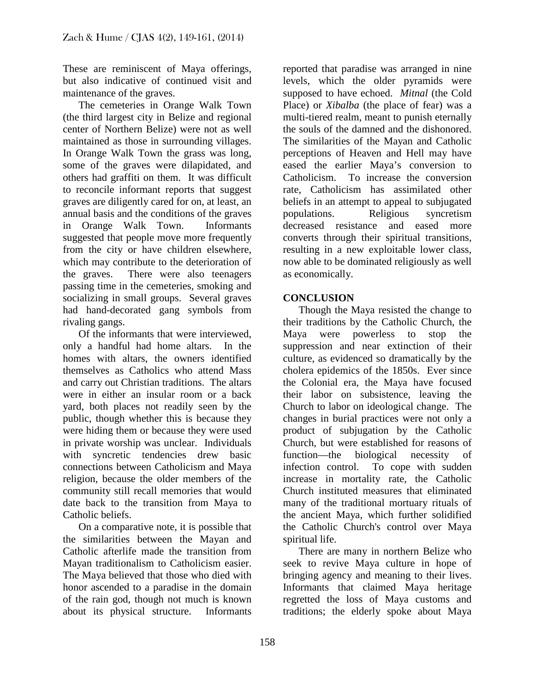These are reminiscent of Maya offerings, but also indicative of continued visit and maintenance of the graves.

 The cemeteries in Orange Walk Town (the third largest city in Belize and regional center of Northern Belize) were not as well maintained as those in surrounding villages. In Orange Walk Town the grass was long, some of the graves were dilapidated, and others had graffiti on them. It was difficult to reconcile informant reports that suggest graves are diligently cared for on, at least, an annual basis and the conditions of the graves in Orange Walk Town. Informants suggested that people move more frequently from the city or have children elsewhere, which may contribute to the deterioration of the graves. There were also teenagers passing time in the cemeteries, smoking and socializing in small groups. Several graves had hand-decorated gang symbols from rivaling gangs.

 Of the informants that were interviewed, only a handful had home altars. In the homes with altars, the owners identified themselves as Catholics who attend Mass and carry out Christian traditions. The altars were in either an insular room or a back yard, both places not readily seen by the public, though whether this is because they were hiding them or because they were used in private worship was unclear. Individuals with syncretic tendencies drew basic connections between Catholicism and Maya religion, because the older members of the community still recall memories that would date back to the transition from Maya to Catholic beliefs.

 On a comparative note, it is possible that the similarities between the Mayan and Catholic afterlife made the transition from Mayan traditionalism to Catholicism easier. The Maya believed that those who died with honor ascended to a paradise in the domain of the rain god, though not much is known about its physical structure. Informants

reported that paradise was arranged in nine levels, which the older pyramids were supposed to have echoed. *Mitnal* (the Cold Place) or *Xibalba* (the place of fear) was a multi-tiered realm, meant to punish eternally the souls of the damned and the dishonored. The similarities of the Mayan and Catholic perceptions of Heaven and Hell may have eased the earlier Maya's conversion to Catholicism. To increase the conversion rate, Catholicism has assimilated other beliefs in an attempt to appeal to subjugated populations. Religious syncretism decreased resistance and eased more converts through their spiritual transitions, resulting in a new exploitable lower class, now able to be dominated religiously as well as economically.

#### **CONCLUSION**

 Though the Maya resisted the change to their traditions by the Catholic Church, the Maya were powerless to stop the suppression and near extinction of their culture, as evidenced so dramatically by the cholera epidemics of the 1850s. Ever since the Colonial era, the Maya have focused their labor on subsistence, leaving the Church to labor on ideological change. The changes in burial practices were not only a product of subjugation by the Catholic Church, but were established for reasons of function—the biological necessity of infection control. To cope with sudden increase in mortality rate, the Catholic Church instituted measures that eliminated many of the traditional mortuary rituals of the ancient Maya, which further solidified the Catholic Church's control over Maya spiritual life.

 There are many in northern Belize who seek to revive Maya culture in hope of bringing agency and meaning to their lives. Informants that claimed Maya heritage regretted the loss of Maya customs and traditions; the elderly spoke about Maya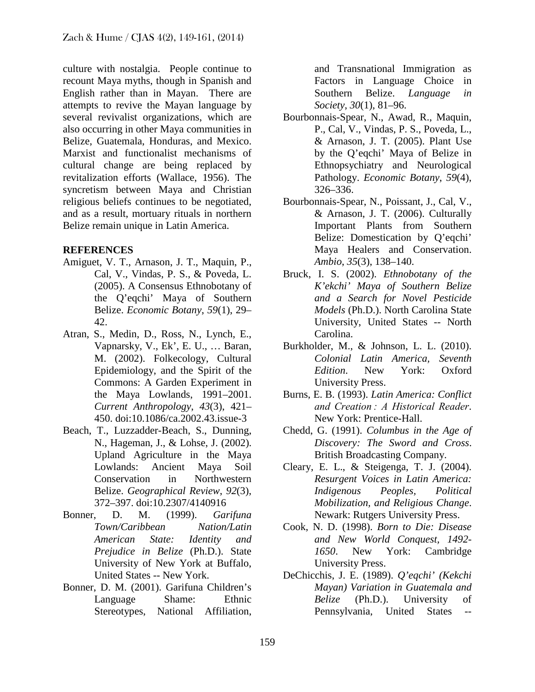culture with nostalgia. People continue to recount Maya myths, though in Spanish and English rather than in Mayan. There are attempts to revive the Mayan language by several revivalist organizations, which are also occurring in other Maya communities in Belize, Guatemala, Honduras, and Mexico. Marxist and functionalist mechanisms of cultural change are being replaced by revitalization efforts (Wallace, 1956). The syncretism between Maya and Christian religious beliefs continues to be negotiated, and as a result, mortuary rituals in northern Belize remain unique in Latin America.

#### **REFERENCES**

- Amiguet, V. T., Arnason, J. T., Maquin, P., Cal, V., Vindas, P. S., & Poveda, L. (2005). A Consensus Ethnobotany of the Q'eqchi' Maya of Southern Belize. *Economic Botany*, *59*(1), 29– 42.
- Atran, S., Medin, D., Ross, N., Lynch, E., Vapnarsky, V., Ek', E. U., … Baran, M. (2002). Folkecology, Cultural Epidemiology, and the Spirit of the Commons: A Garden Experiment in the Maya Lowlands, 1991–2001. *Current Anthropology*, *43*(3), 421– 450. doi:10.1086/ca.2002.43.issue-3
- Beach, T., Luzzadder-Beach, S., Dunning, N., Hageman, J., & Lohse, J. (2002). Upland Agriculture in the Maya Lowlands: Ancient Maya Soil Conservation in Northwestern Belize. *Geographical Review*, *92*(3), 372–397. doi:10.2307/4140916
- Bonner, D. M. (1999). *Garifuna Town/Caribbean Nation/Latin American State: Identity and Prejudice in Belize* (Ph.D.). State University of New York at Buffalo, United States -- New York.
- Bonner, D. M. (2001). Garifuna Children's Language Shame: Ethnic Stereotypes, National Affiliation,

and Transnational Immigration as Factors in Language Choice in Southern Belize. *Language in Society*, *30*(1), 81–96.

- Bourbonnais-Spear, N., Awad, R., Maquin, P., Cal, V., Vindas, P. S., Poveda, L., & Arnason, J. T. (2005). Plant Use by the Q'eqchi' Maya of Belize in Ethnopsychiatry and Neurological Pathology. *Economic Botany*, *59*(4), 326–336.
- Bourbonnais-Spear, N., Poissant, J., Cal, V., & Arnason, J. T. (2006). Culturally Important Plants from Southern Belize: Domestication by Q'eqchi' Maya Healers and Conservation. *Ambio*, *35*(3), 138–140.
- Bruck, I. S. (2002). *Ethnobotany of the K'ekchi' Maya of Southern Belize and a Search for Novel Pesticide Models* (Ph.D.). North Carolina State University, United States -- North Carolina.
- Burkholder, M., & Johnson, L. L. (2010). *Colonial Latin America, Seventh Edition*. New York: Oxford University Press.
- Burns, E. B. (1993). *Latin America: Conflict and Creation : A Historical Reader*. New York: Prentice-Hall.
- Chedd, G. (1991). *Columbus in the Age of Discovery: The Sword and Cross*. British Broadcasting Company.
- Cleary, E. L., & Steigenga, T. J. (2004). *Resurgent Voices in Latin America: Indigenous Peoples, Political Mobilization, and Religious Change*. Newark: Rutgers University Press.
- Cook, N. D. (1998). *Born to Die: Disease and New World Conquest, 1492- 1650*. New York: Cambridge University Press.
- DeChicchis, J. E. (1989). *Q'eqchi' (Kekchi Mayan) Variation in Guatemala and Belize* (Ph.D.). University of Pennsylvania, United States --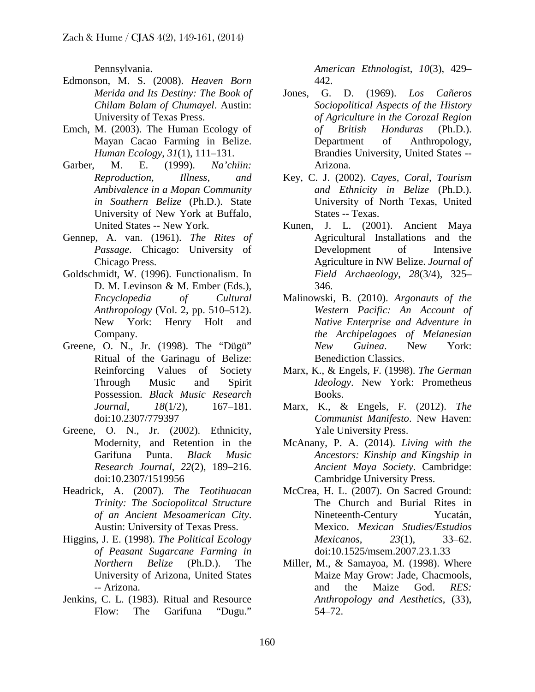Pennsylvania.

- Edmonson, M. S. (2008). *Heaven Born Merida and Its Destiny: The Book of Chilam Balam of Chumayel*. Austin: University of Texas Press.
- Emch, M. (2003). The Human Ecology of Mayan Cacao Farming in Belize. *Human Ecology*, *31*(1), 111–131.
- Garber, M. E. (1999). *Na'chiin: Reproduction, Illness, and Ambivalence in a Mopan Community in Southern Belize* (Ph.D.). State University of New York at Buffalo, United States -- New York.
- Gennep, A. van. (1961). *The Rites of Passage*. Chicago: University of Chicago Press.
- Goldschmidt, W. (1996). Functionalism. In D. M. Levinson & M. Ember (Eds.), *Encyclopedia of Cultural Anthropology* (Vol. 2, pp. 510–512). New York: Henry Holt and Company.
- Greene, O. N., Jr. (1998). The "Dügü" Ritual of the Garinagu of Belize: Reinforcing Values of Society Through Music and Spirit Possession. *Black Music Research Journal*, *18*(1/2), 167–181. doi:10.2307/779397
- Greene, O. N., Jr. (2002). Ethnicity, Modernity, and Retention in the Garifuna Punta. *Black Music Research Journal*, *22*(2), 189–216. doi:10.2307/1519956
- Headrick, A. (2007). *The Teotihuacan Trinity: The Sociopolitcal Structure of an Ancient Mesoamerican City*. Austin: University of Texas Press.
- Higgins, J. E. (1998). *The Political Ecology of Peasant Sugarcane Farming in Northern Belize* (Ph.D.). The University of Arizona, United States -- Arizona.
- Jenkins, C. L. (1983). Ritual and Resource Flow: The Garifuna "Dugu."

*American Ethnologist*, *10*(3), 429– 442.

- Jones, G. D. (1969). *Los Cañeros Sociopolitical Aspects of the History of Agriculture in the Corozal Region of British Honduras* (Ph.D.). Department of Anthropology, Brandies University, United States -- Arizona.
- Key, C. J. (2002). *Cayes, Coral, Tourism and Ethnicity in Belize* (Ph.D.). University of North Texas, United States -- Texas.
- Kunen, J. L. (2001). Ancient Maya Agricultural Installations and the Development of Intensive Agriculture in NW Belize. *Journal of Field Archaeology*, *28*(3/4), 325– 346.
- Malinowski, B. (2010). *Argonauts of the Western Pacific: An Account of Native Enterprise and Adventure in the Archipelagoes of Melanesian New Guinea*. New York: Benediction Classics.
- Marx, K., & Engels, F. (1998). *The German Ideology*. New York: Prometheus Books.
- Marx, K., & Engels, F. (2012). *The Communist Manifesto*. New Haven: Yale University Press.
- McAnany, P. A. (2014). *Living with the Ancestors: Kinship and Kingship in Ancient Maya Society*. Cambridge: Cambridge University Press.
- McCrea, H. L. (2007). On Sacred Ground: The Church and Burial Rites in Nineteenth-Century Yucatán, Mexico. *Mexican Studies/Estudios Mexicanos*, *23*(1), 33–62. doi:10.1525/msem.2007.23.1.33
- Miller, M., & Samayoa, M. (1998). Where Maize May Grow: Jade, Chacmools, and the Maize God. *RES: Anthropology and Aesthetics*, (33), 54–72.